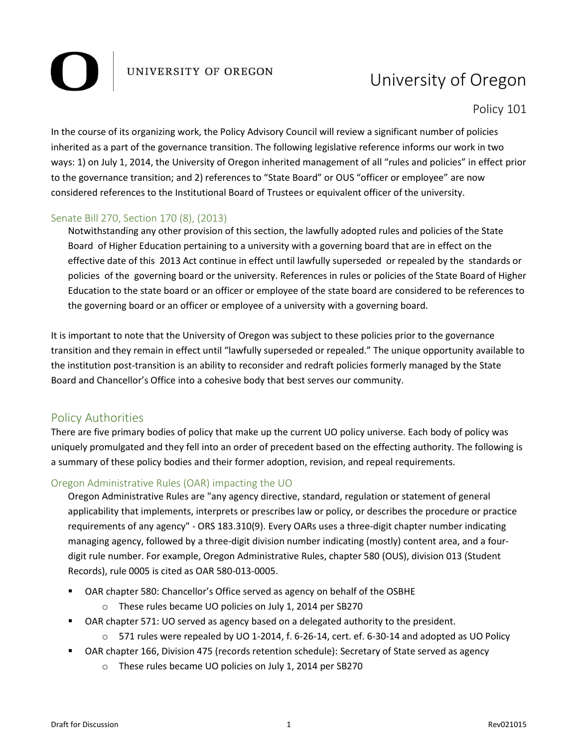## UNIVERSITY OF OREGON

# University of Oregon

Policy 101

In the course of its organizing work, the Policy Advisory Council will review a significant number of policies inherited as a part of the governance transition. The following legislative reference informs our work in two ways: 1) on July 1, 2014, the University of Oregon inherited management of all "rules and policies" in effect prior to the governance transition; and 2) references to "State Board" or OUS "officer or employee" are now considered references to the Institutional Board of Trustees or equivalent officer of the university.

#### Senate Bill 270, Section 170 (8), (2013)

Notwithstanding any other provision of this section, the lawfully adopted rules and policies of the State Board of Higher Education pertaining to a university with a governing board that are in effect on the effective date of this 2013 Act continue in effect until lawfully superseded or repealed by the standards or policies of the governing board or the university. References in rules or policies of the State Board of Higher Education to the state board or an officer or employee of the state board are considered to be references to the governing board or an officer or employee of a university with a governing board.

It is important to note that the University of Oregon was subject to these policies prior to the governance transition and they remain in effect until "lawfully superseded or repealed." The unique opportunity available to the institution post-transition is an ability to reconsider and redraft policies formerly managed by the State Board and Chancellor's Office into a cohesive body that best serves our community.

### Policy Authorities

There are five primary bodies of policy that make up the current UO policy universe. Each body of policy was uniquely promulgated and they fell into an order of precedent based on the effecting authority. The following is a summary of these policy bodies and their former adoption, revision, and repeal requirements.

#### Oregon Administrative Rules (OAR) impacting the UO

Oregon Administrative Rules are "any agency directive, standard, regulation or statement of general applicability that implements, interprets or prescribes law or policy, or describes the procedure or practice requirements of any agency" - ORS 183.310(9). Every OARs uses a three-digit chapter number indicating managing agency, followed by a three-digit division number indicating (mostly) content area, and a fourdigit rule number. For example, Oregon Administrative Rules, chapter 580 (OUS), division 013 (Student Records), rule 0005 is cited as OAR 580-013-0005.

- OAR chapter 580: Chancellor's Office served as agency on behalf of the OSBHE
	- o These rules became UO policies on July 1, 2014 per SB270
- OAR chapter 571: UO served as agency based on a delegated authority to the president.
	- $\circ$  571 rules were repealed by UO 1-2014, f. 6-26-14, cert. ef. 6-30-14 and adopted as UO Policy
- OAR chapter 166, Division 475 (records retention schedule): Secretary of State served as agency
	- o These rules became UO policies on July 1, 2014 per SB270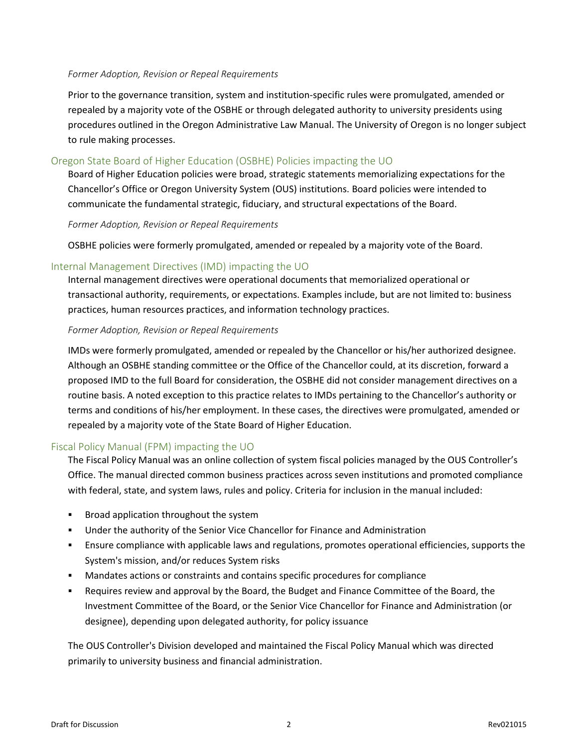#### *Former Adoption, Revision or Repeal Requirements*

Prior to the governance transition, system and institution-specific rules were promulgated, amended or repealed by a majority vote of the OSBHE or through delegated authority to university presidents using procedures outlined in the Oregon Administrative Law Manual. The University of Oregon is no longer subject to rule making processes.

#### Oregon State Board of Higher Education (OSBHE) Policies impacting the UO

Board of Higher Education policies were broad, strategic statements memorializing expectations for the Chancellor's Office or Oregon University System (OUS) institutions. Board policies were intended to communicate the fundamental strategic, fiduciary, and structural expectations of the Board.

#### *Former Adoption, Revision or Repeal Requirements*

OSBHE policies were formerly promulgated, amended or repealed by a majority vote of the Board.

#### Internal Management Directives (IMD) impacting the UO

Internal management directives were operational documents that memorialized operational or transactional authority, requirements, or expectations. Examples include, but are not limited to: business practices, human resources practices, and information technology practices.

#### *Former Adoption, Revision or Repeal Requirements*

IMDs were formerly promulgated, amended or repealed by the Chancellor or his/her authorized designee. Although an OSBHE standing committee or the Office of the Chancellor could, at its discretion, forward a proposed IMD to the full Board for consideration, the OSBHE did not consider management directives on a routine basis. A noted exception to this practice relates to IMDs pertaining to the Chancellor's authority or terms and conditions of his/her employment. In these cases, the directives were promulgated, amended or repealed by a majority vote of the State Board of Higher Education.

#### Fiscal Policy Manual (FPM) impacting the UO

The Fiscal Policy Manual was an online collection of system fiscal policies managed by the OUS Controller's Office. The manual directed common business practices across seven institutions and promoted compliance with federal, state, and system laws, rules and policy. Criteria for inclusion in the manual included:

- Broad application throughout the system
- Under the authority of the Senior Vice Chancellor for Finance and Administration
- Ensure compliance with applicable laws and regulations, promotes operational efficiencies, supports the System's mission, and/or reduces System risks
- Mandates actions or constraints and contains specific procedures for compliance
- Requires review and approval by the Board, the Budget and Finance Committee of the Board, the Investment Committee of the Board, or the Senior Vice Chancellor for Finance and Administration (or designee), depending upon delegated authority, for policy issuance

The OUS Controller's Division developed and maintained the Fiscal Policy Manual which was directed primarily to university business and financial administration.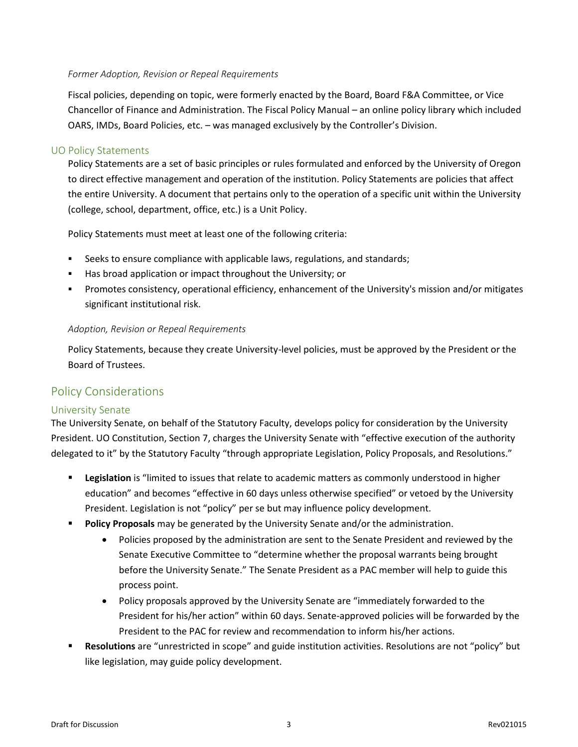#### *Former Adoption, Revision or Repeal Requirements*

Fiscal policies, depending on topic, were formerly enacted by the Board, Board F&A Committee, or Vice Chancellor of Finance and Administration. The Fiscal Policy Manual – an online policy library which included OARS, IMDs, Board Policies, etc. – was managed exclusively by the Controller's Division.

#### UO Policy Statements

Policy Statements are a set of basic principles or rules formulated and enforced by the University of Oregon to direct effective management and operation of the institution. Policy Statements are policies that affect the entire University. A document that pertains only to the operation of a specific unit within the University (college, school, department, office, etc.) is a Unit Policy.

Policy Statements must meet at least one of the following criteria:

- Seeks to ensure compliance with applicable laws, regulations, and standards;
- Has broad application or impact throughout the University; or
- Promotes consistency, operational efficiency, enhancement of the University's mission and/or mitigates significant institutional risk.

#### *Adoption, Revision or Repeal Requirements*

Policy Statements, because they create University-level policies, must be approved by the President or the Board of Trustees.

### Policy Considerations

#### University Senate

The University Senate, on behalf of the Statutory Faculty, develops policy for consideration by the University President. UO Constitution, Section 7, charges the University Senate with "effective execution of the authority delegated to it" by the Statutory Faculty "through appropriate Legislation, Policy Proposals, and Resolutions."

- **Legislation** is "limited to issues that relate to academic matters as commonly understood in higher education" and becomes "effective in 60 days unless otherwise specified" or vetoed by the University President. Legislation is not "policy" per se but may influence policy development.
- **Policy Proposals** may be generated by the University Senate and/or the administration.
	- Policies proposed by the administration are sent to the Senate President and reviewed by the Senate Executive Committee to "determine whether the proposal warrants being brought before the University Senate." The Senate President as a PAC member will help to guide this process point.
	- Policy proposals approved by the University Senate are "immediately forwarded to the President for his/her action" within 60 days. Senate-approved policies will be forwarded by the President to the PAC for review and recommendation to inform his/her actions.
- **Resolutions** are "unrestricted in scope" and guide institution activities. Resolutions are not "policy" but like legislation, may guide policy development.